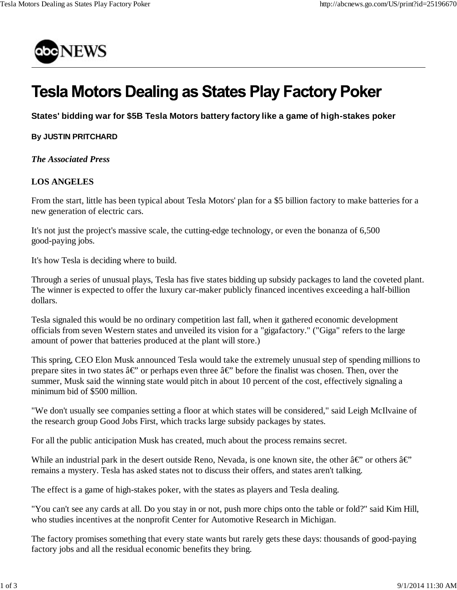

## **Tesla Motors Dealing as States Play Factory Poker**

**States' bidding war for \$5B Tesla Motors battery factory like a game of high-stakes poker**

## **By JUSTIN PRITCHARD**

*The Associated Press*

## **LOS ANGELES**

From the start, little has been typical about Tesla Motors' plan for a \$5 billion factory to make batteries for a new generation of electric cars.

It's not just the project's massive scale, the cutting-edge technology, or even the bonanza of 6,500 good-paying jobs.

It's how Tesla is deciding where to build.

Through a series of unusual plays, Tesla has five states bidding up subsidy packages to land the coveted plant. The winner is expected to offer the luxury car-maker publicly financed incentives exceeding a half-billion dollars.

Tesla signaled this would be no ordinary competition last fall, when it gathered economic development officials from seven Western states and unveiled its vision for a "gigafactory." ("Giga" refers to the large amount of power that batteries produced at the plant will store.)

This spring, CEO Elon Musk announced Tesla would take the extremely unusual step of spending millions to prepare sites in two states  $\hat{a}\epsilon$  or perhaps even three  $\hat{a}\epsilon$  before the finalist was chosen. Then, over the summer, Musk said the winning state would pitch in about 10 percent of the cost, effectively signaling a minimum bid of \$500 million.

"We don't usually see companies setting a floor at which states will be considered," said Leigh McIlvaine of the research group Good Jobs First, which tracks large subsidy packages by states.

For all the public anticipation Musk has created, much about the process remains secret.

While an industrial park in the desert outside Reno, Nevada, is one known site, the other  $\hat{a}\epsilon$  or others  $\hat{a}\epsilon$ remains a mystery. Tesla has asked states not to discuss their offers, and states aren't talking.

The effect is a game of high-stakes poker, with the states as players and Tesla dealing.

"You can't see any cards at all. Do you stay in or not, push more chips onto the table or fold?" said Kim Hill, who studies incentives at the nonprofit Center for Automotive Research in Michigan.

The factory promises something that every state wants but rarely gets these days: thousands of good-paying factory jobs and all the residual economic benefits they bring.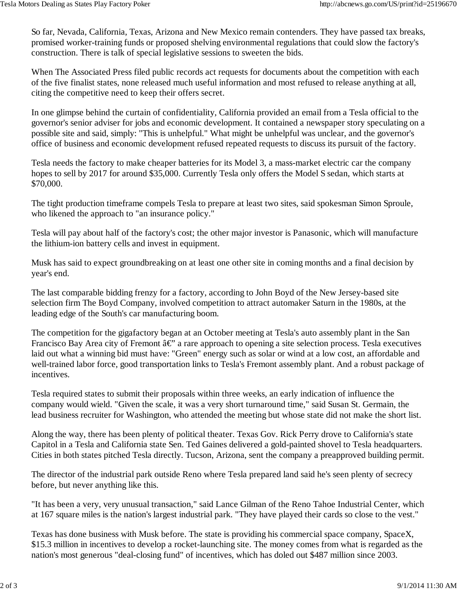So far, Nevada, California, Texas, Arizona and New Mexico remain contenders. They have passed tax breaks, promised worker-training funds or proposed shelving environmental regulations that could slow the factory's construction. There is talk of special legislative sessions to sweeten the bids.

When The Associated Press filed public records act requests for documents about the competition with each of the five finalist states, none released much useful information and most refused to release anything at all, citing the competitive need to keep their offers secret.

In one glimpse behind the curtain of confidentiality, California provided an email from a Tesla official to the governor's senior adviser for jobs and economic development. It contained a newspaper story speculating on a possible site and said, simply: "This is unhelpful." What might be unhelpful was unclear, and the governor's office of business and economic development refused repeated requests to discuss its pursuit of the factory.

Tesla needs the factory to make cheaper batteries for its Model 3, a mass-market electric car the company hopes to sell by 2017 for around \$35,000. Currently Tesla only offers the Model S sedan, which starts at \$70,000.

The tight production timeframe compels Tesla to prepare at least two sites, said spokesman Simon Sproule, who likened the approach to "an insurance policy."

Tesla will pay about half of the factory's cost; the other major investor is Panasonic, which will manufacture the lithium-ion battery cells and invest in equipment.

Musk has said to expect groundbreaking on at least one other site in coming months and a final decision by year's end.

The last comparable bidding frenzy for a factory, according to John Boyd of the New Jersey-based site selection firm The Boyd Company, involved competition to attract automaker Saturn in the 1980s, at the leading edge of the South's car manufacturing boom.

The competition for the gigafactory began at an October meeting at Tesla's auto assembly plant in the San Francisco Bay Area city of Fremont  $\hat{a} \in \mathcal{C}$  a rare approach to opening a site selection process. Tesla executives laid out what a winning bid must have: "Green" energy such as solar or wind at a low cost, an affordable and well-trained labor force, good transportation links to Tesla's Fremont assembly plant. And a robust package of incentives.

Tesla required states to submit their proposals within three weeks, an early indication of influence the company would wield. "Given the scale, it was a very short turnaround time," said Susan St. Germain, the lead business recruiter for Washington, who attended the meeting but whose state did not make the short list.

Along the way, there has been plenty of political theater. Texas Gov. Rick Perry drove to California's state Capitol in a Tesla and California state Sen. Ted Gaines delivered a gold-painted shovel to Tesla headquarters. Cities in both states pitched Tesla directly. Tucson, Arizona, sent the company a preapproved building permit.

The director of the industrial park outside Reno where Tesla prepared land said he's seen plenty of secrecy before, but never anything like this.

"It has been a very, very unusual transaction," said Lance Gilman of the Reno Tahoe Industrial Center, which at 167 square miles is the nation's largest industrial park. "They have played their cards so close to the vest."

Texas has done business with Musk before. The state is providing his commercial space company, SpaceX, \$15.3 million in incentives to develop a rocket-launching site. The money comes from what is regarded as the nation's most generous "deal-closing fund" of incentives, which has doled out \$487 million since 2003.